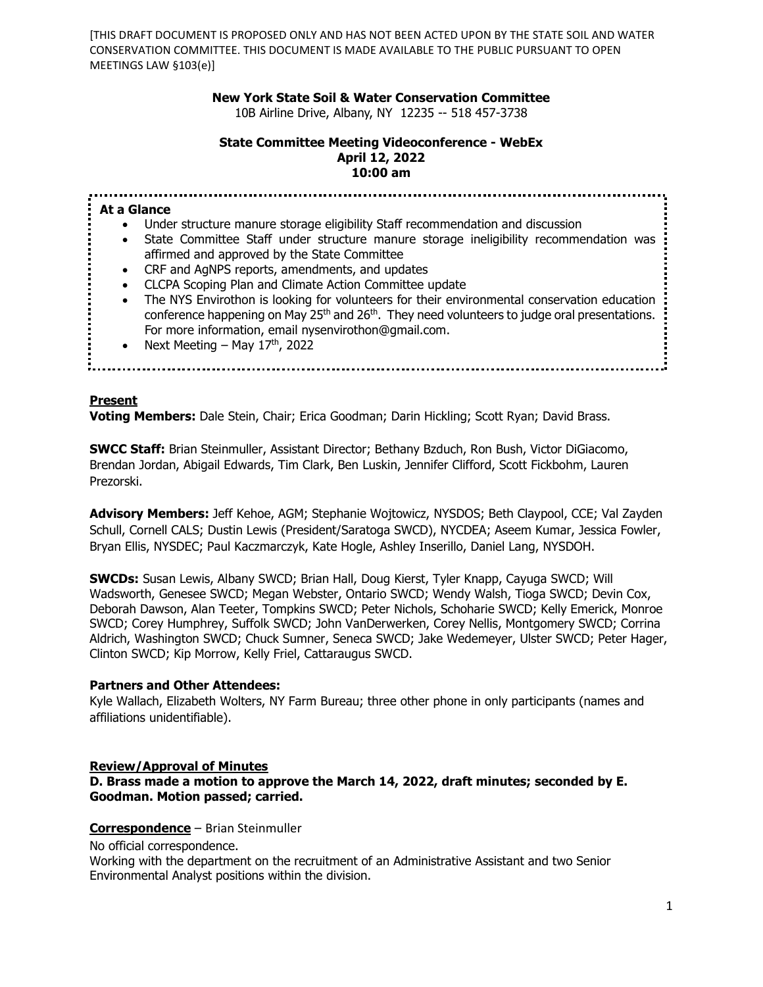### **New York State Soil & Water Conservation Committee**

10B Airline Drive, Albany, NY 12235 -- 518 457-3738

#### **State Committee Meeting Videoconference - WebEx April 12, 2022 10:00 am**

**At a Glance** • Under structure manure storage eligibility Staff recommendation and discussion • State Committee Staff under structure manure storage ineligibility recommendation was affirmed and approved by the State Committee • CRF and AgNPS reports, amendments, and updates • CLCPA Scoping Plan and Climate Action Committee update • The NYS Envirothon is looking for volunteers for their environmental conservation education conference happening on May 25<sup>th</sup> and 26<sup>th</sup>. They need volunteers to judge oral presentations. For more information, email nysenvirothon@gmail.com. • Next Meeting – May  $17<sup>th</sup>$ , 2022 

### **Present**

**Voting Members:** Dale Stein, Chair; Erica Goodman; Darin Hickling; Scott Ryan; David Brass.

**SWCC Staff:** Brian Steinmuller, Assistant Director; Bethany Bzduch, Ron Bush, Victor DiGiacomo, Brendan Jordan, Abigail Edwards, Tim Clark, Ben Luskin, Jennifer Clifford, Scott Fickbohm, Lauren Prezorski.

**Advisory Members:** Jeff Kehoe, AGM; Stephanie Wojtowicz, NYSDOS; Beth Claypool, CCE; Val Zayden Schull, Cornell CALS; Dustin Lewis (President/Saratoga SWCD), NYCDEA; Aseem Kumar, Jessica Fowler, Bryan Ellis, NYSDEC; Paul Kaczmarczyk, Kate Hogle, Ashley Inserillo, Daniel Lang, NYSDOH.

**SWCDs:** Susan Lewis, Albany SWCD; Brian Hall, Doug Kierst, Tyler Knapp, Cayuga SWCD; Will Wadsworth, Genesee SWCD; Megan Webster, Ontario SWCD; Wendy Walsh, Tioga SWCD; Devin Cox, Deborah Dawson, Alan Teeter, Tompkins SWCD; Peter Nichols, Schoharie SWCD; Kelly Emerick, Monroe SWCD; Corey Humphrey, Suffolk SWCD; John VanDerwerken, Corey Nellis, Montgomery SWCD; Corrina Aldrich, Washington SWCD; Chuck Sumner, Seneca SWCD; Jake Wedemeyer, Ulster SWCD; Peter Hager, Clinton SWCD; Kip Morrow, Kelly Friel, Cattaraugus SWCD.

#### **Partners and Other Attendees:**

Kyle Wallach, Elizabeth Wolters, NY Farm Bureau; three other phone in only participants (names and affiliations unidentifiable).

#### **Review/Approval of Minutes**

### **D. Brass made a motion to approve the March 14, 2022, draft minutes; seconded by E. Goodman. Motion passed; carried.**

#### **Correspondence** – Brian Steinmuller

No official correspondence.

Working with the department on the recruitment of an Administrative Assistant and two Senior Environmental Analyst positions within the division.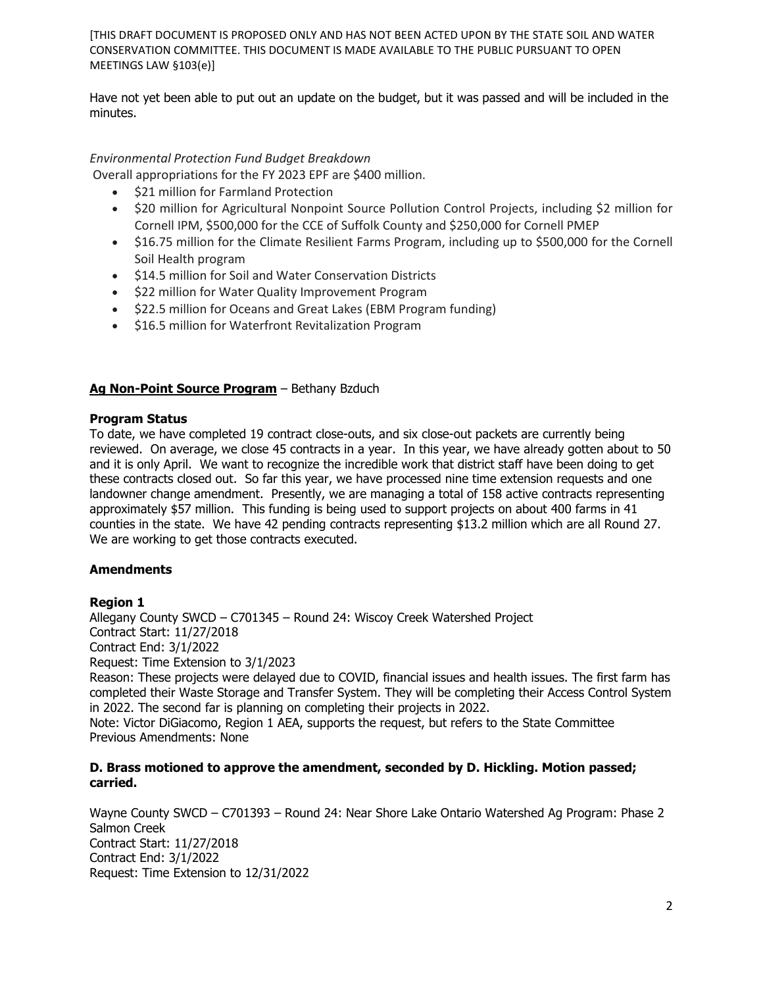Have not yet been able to put out an update on the budget, but it was passed and will be included in the minutes.

# *Environmental Protection Fund Budget Breakdown*

Overall appropriations for the FY 2023 EPF are \$400 million.

- \$21 million for Farmland Protection
- \$20 million for Agricultural Nonpoint Source Pollution Control Projects, including \$2 million for Cornell IPM, \$500,000 for the CCE of Suffolk County and \$250,000 for Cornell PMEP
- \$16.75 million for the Climate Resilient Farms Program, including up to \$500,000 for the Cornell Soil Health program
- \$14.5 million for Soil and Water Conservation Districts
- \$22 million for Water Quality Improvement Program
- \$22.5 million for Oceans and Great Lakes (EBM Program funding)
- \$16.5 million for Waterfront Revitalization Program

## **Ag Non-Point Source Program** – Bethany Bzduch

## **Program Status**

To date, we have completed 19 contract close-outs, and six close-out packets are currently being reviewed. On average, we close 45 contracts in a year. In this year, we have already gotten about to 50 and it is only April. We want to recognize the incredible work that district staff have been doing to get these contracts closed out. So far this year, we have processed nine time extension requests and one landowner change amendment. Presently, we are managing a total of 158 active contracts representing approximately \$57 million. This funding is being used to support projects on about 400 farms in 41 counties in the state. We have 42 pending contracts representing \$13.2 million which are all Round 27. We are working to get those contracts executed.

## **Amendments**

## **Region 1**

Allegany County SWCD – C701345 – Round 24: Wiscoy Creek Watershed Project Contract Start: 11/27/2018 Contract End: 3/1/2022 Request: Time Extension to 3/1/2023 Reason: These projects were delayed due to COVID, financial issues and health issues. The first farm has completed their Waste Storage and Transfer System. They will be completing their Access Control System in 2022. The second far is planning on completing their projects in 2022.

Note: Victor DiGiacomo, Region 1 AEA, supports the request, but refers to the State Committee Previous Amendments: None

### **D. Brass motioned to approve the amendment, seconded by D. Hickling. Motion passed; carried.**

Wayne County SWCD – C701393 – Round 24: Near Shore Lake Ontario Watershed Ag Program: Phase 2 Salmon Creek Contract Start: 11/27/2018 Contract End: 3/1/2022 Request: Time Extension to 12/31/2022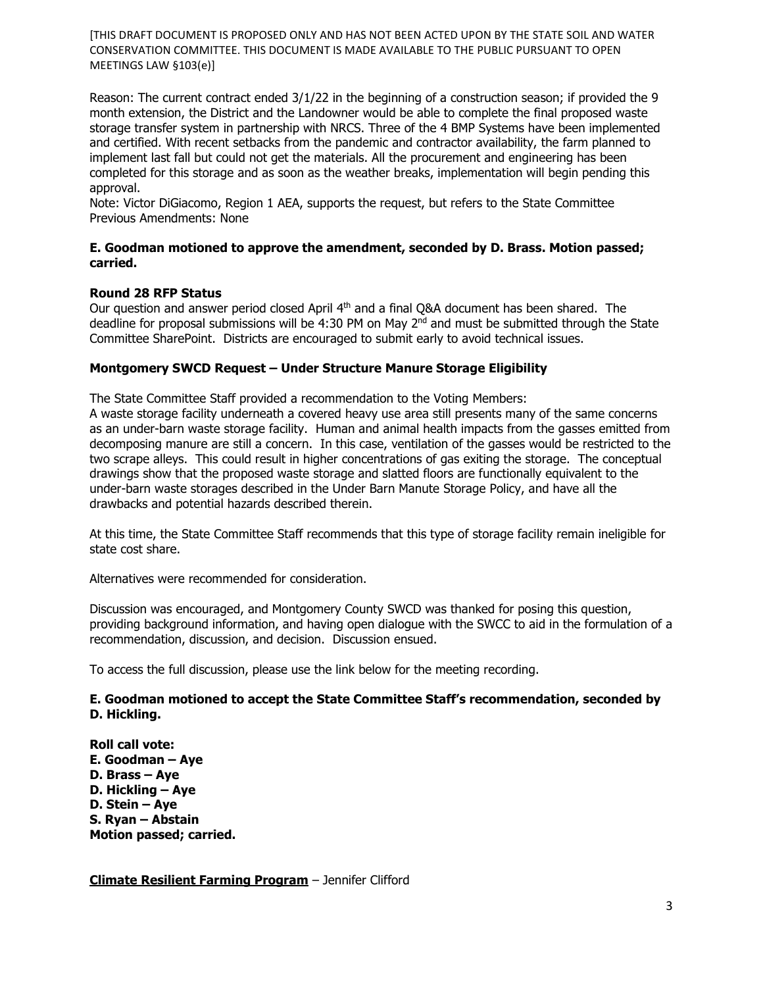Reason: The current contract ended 3/1/22 in the beginning of a construction season; if provided the 9 month extension, the District and the Landowner would be able to complete the final proposed waste storage transfer system in partnership with NRCS. Three of the 4 BMP Systems have been implemented and certified. With recent setbacks from the pandemic and contractor availability, the farm planned to implement last fall but could not get the materials. All the procurement and engineering has been completed for this storage and as soon as the weather breaks, implementation will begin pending this approval.

Note: Victor DiGiacomo, Region 1 AEA, supports the request, but refers to the State Committee Previous Amendments: None

## **E. Goodman motioned to approve the amendment, seconded by D. Brass. Motion passed; carried.**

## **Round 28 RFP Status**

Our question and answer period closed April 4<sup>th</sup> and a final Q&A document has been shared. The deadline for proposal submissions will be 4:30 PM on May  $2<sup>nd</sup>$  and must be submitted through the State Committee SharePoint. Districts are encouraged to submit early to avoid technical issues.

## **Montgomery SWCD Request – Under Structure Manure Storage Eligibility**

The State Committee Staff provided a recommendation to the Voting Members: A waste storage facility underneath a covered heavy use area still presents many of the same concerns as an under-barn waste storage facility. Human and animal health impacts from the gasses emitted from decomposing manure are still a concern. In this case, ventilation of the gasses would be restricted to the two scrape alleys. This could result in higher concentrations of gas exiting the storage. The conceptual drawings show that the proposed waste storage and slatted floors are functionally equivalent to the under-barn waste storages described in the Under Barn Manute Storage Policy, and have all the drawbacks and potential hazards described therein.

At this time, the State Committee Staff recommends that this type of storage facility remain ineligible for state cost share.

Alternatives were recommended for consideration.

Discussion was encouraged, and Montgomery County SWCD was thanked for posing this question, providing background information, and having open dialogue with the SWCC to aid in the formulation of a recommendation, discussion, and decision. Discussion ensued.

To access the full discussion, please use the link below for the meeting recording.

## **E. Goodman motioned to accept the State Committee Staff's recommendation, seconded by D. Hickling.**

**Roll call vote: E. Goodman – Aye D. Brass – Aye D. Hickling – Aye D. Stein – Aye S. Ryan – Abstain Motion passed; carried.**

**Climate Resilient Farming Program** – Jennifer Clifford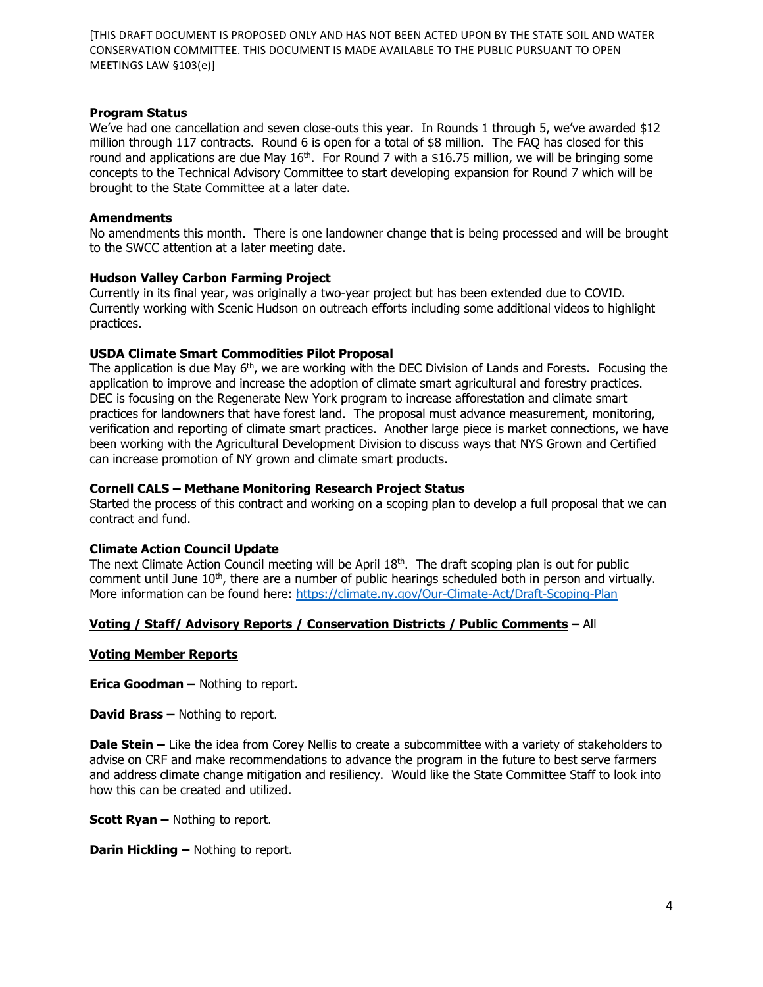### **Program Status**

We've had one cancellation and seven close-outs this year. In Rounds 1 through 5, we've awarded \$12 million through 117 contracts. Round 6 is open for a total of \$8 million. The FAQ has closed for this round and applications are due May  $16<sup>th</sup>$ . For Round 7 with a \$16.75 million, we will be bringing some concepts to the Technical Advisory Committee to start developing expansion for Round 7 which will be brought to the State Committee at a later date.

### **Amendments**

No amendments this month. There is one landowner change that is being processed and will be brought to the SWCC attention at a later meeting date.

### **Hudson Valley Carbon Farming Project**

Currently in its final year, was originally a two-year project but has been extended due to COVID. Currently working with Scenic Hudson on outreach efforts including some additional videos to highlight practices.

### **USDA Climate Smart Commodities Pilot Proposal**

The application is due May 6<sup>th</sup>, we are working with the DEC Division of Lands and Forests. Focusing the application to improve and increase the adoption of climate smart agricultural and forestry practices. DEC is focusing on the Regenerate New York program to increase afforestation and climate smart practices for landowners that have forest land. The proposal must advance measurement, monitoring, verification and reporting of climate smart practices. Another large piece is market connections, we have been working with the Agricultural Development Division to discuss ways that NYS Grown and Certified can increase promotion of NY grown and climate smart products.

## **Cornell CALS – Methane Monitoring Research Project Status**

Started the process of this contract and working on a scoping plan to develop a full proposal that we can contract and fund.

## **Climate Action Council Update**

The next Climate Action Council meeting will be April  $18<sup>th</sup>$ . The draft scoping plan is out for public comment until June  $10<sup>th</sup>$ , there are a number of public hearings scheduled both in person and virtually. More information can be found here:<https://climate.ny.gov/Our-Climate-Act/Draft-Scoping-Plan>

## **Voting / Staff/ Advisory Reports / Conservation Districts / Public Comments –** All

#### **Voting Member Reports**

**Erica Goodman –** Nothing to report.

**David Brass –** Nothing to report.

**Dale Stein** – Like the idea from Corey Nellis to create a subcommittee with a variety of stakeholders to advise on CRF and make recommendations to advance the program in the future to best serve farmers and address climate change mitigation and resiliency. Would like the State Committee Staff to look into how this can be created and utilized.

**Scott Ryan –** Nothing to report.

**Darin Hickling –** Nothing to report.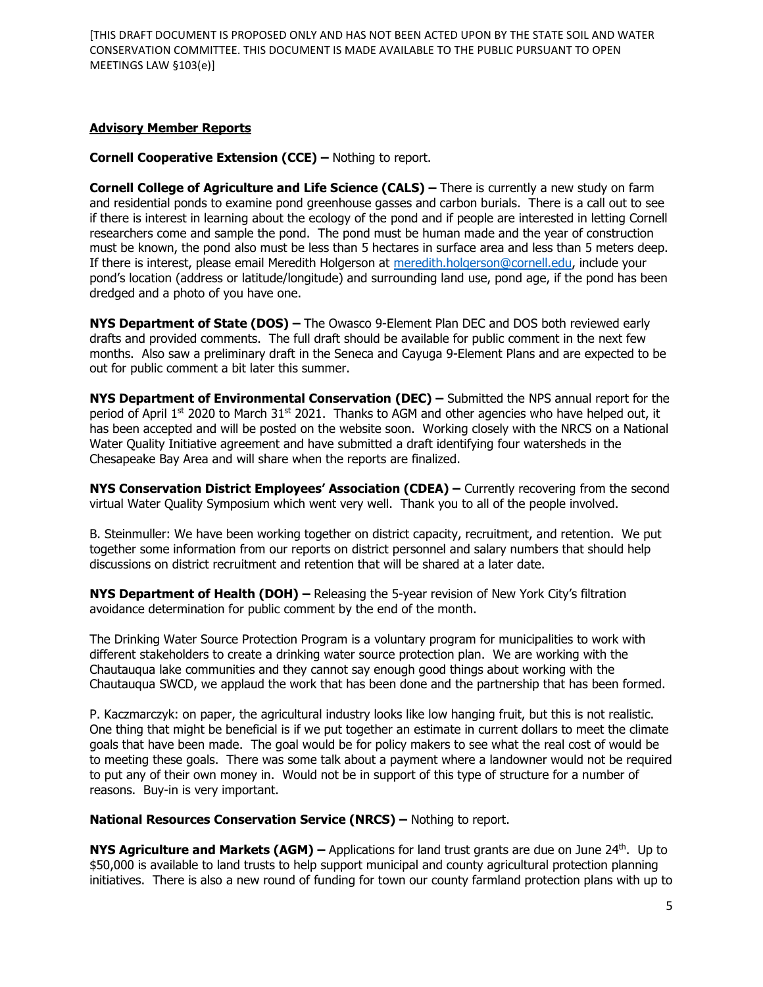# **Advisory Member Reports**

## **Cornell Cooperative Extension (CCE) –** Nothing to report.

**Cornell College of Agriculture and Life Science (CALS)** – There is currently a new study on farm and residential ponds to examine pond greenhouse gasses and carbon burials. There is a call out to see if there is interest in learning about the ecology of the pond and if people are interested in letting Cornell researchers come and sample the pond. The pond must be human made and the year of construction must be known, the pond also must be less than 5 hectares in surface area and less than 5 meters deep. If there is interest, please email Meredith Holgerson at [meredith.holgerson@cornell.edu,](mailto:meredith.holgerson@cornell.edu) include your pond's location (address or latitude/longitude) and surrounding land use, pond age, if the pond has been dredged and a photo of you have one.

**NYS Department of State (DOS) –** The Owasco 9-Element Plan DEC and DOS both reviewed early drafts and provided comments. The full draft should be available for public comment in the next few months. Also saw a preliminary draft in the Seneca and Cayuga 9-Element Plans and are expected to be out for public comment a bit later this summer.

**NYS Department of Environmental Conservation (DEC) –** Submitted the NPS annual report for the period of April  $1<sup>st</sup>$  2020 to March 31 $<sup>st</sup>$  2021. Thanks to AGM and other agencies who have helped out, it</sup> has been accepted and will be posted on the website soon. Working closely with the NRCS on a National Water Quality Initiative agreement and have submitted a draft identifying four watersheds in the Chesapeake Bay Area and will share when the reports are finalized.

**NYS Conservation District Employees' Association (CDEA) –** Currently recovering from the second virtual Water Quality Symposium which went very well. Thank you to all of the people involved.

B. Steinmuller: We have been working together on district capacity, recruitment, and retention. We put together some information from our reports on district personnel and salary numbers that should help discussions on district recruitment and retention that will be shared at a later date.

**NYS Department of Health (DOH) –** Releasing the 5-year revision of New York City's filtration avoidance determination for public comment by the end of the month.

The Drinking Water Source Protection Program is a voluntary program for municipalities to work with different stakeholders to create a drinking water source protection plan. We are working with the Chautauqua lake communities and they cannot say enough good things about working with the Chautauqua SWCD, we applaud the work that has been done and the partnership that has been formed.

P. Kaczmarczyk: on paper, the agricultural industry looks like low hanging fruit, but this is not realistic. One thing that might be beneficial is if we put together an estimate in current dollars to meet the climate goals that have been made. The goal would be for policy makers to see what the real cost of would be to meeting these goals. There was some talk about a payment where a landowner would not be required to put any of their own money in. Would not be in support of this type of structure for a number of reasons. Buy-in is very important.

#### **National Resources Conservation Service (NRCS) –** Nothing to report.

**NYS Agriculture and Markets (AGM) – Applications for land trust grants are due on June 24<sup>th</sup>. Up to** \$50,000 is available to land trusts to help support municipal and county agricultural protection planning initiatives. There is also a new round of funding for town our county farmland protection plans with up to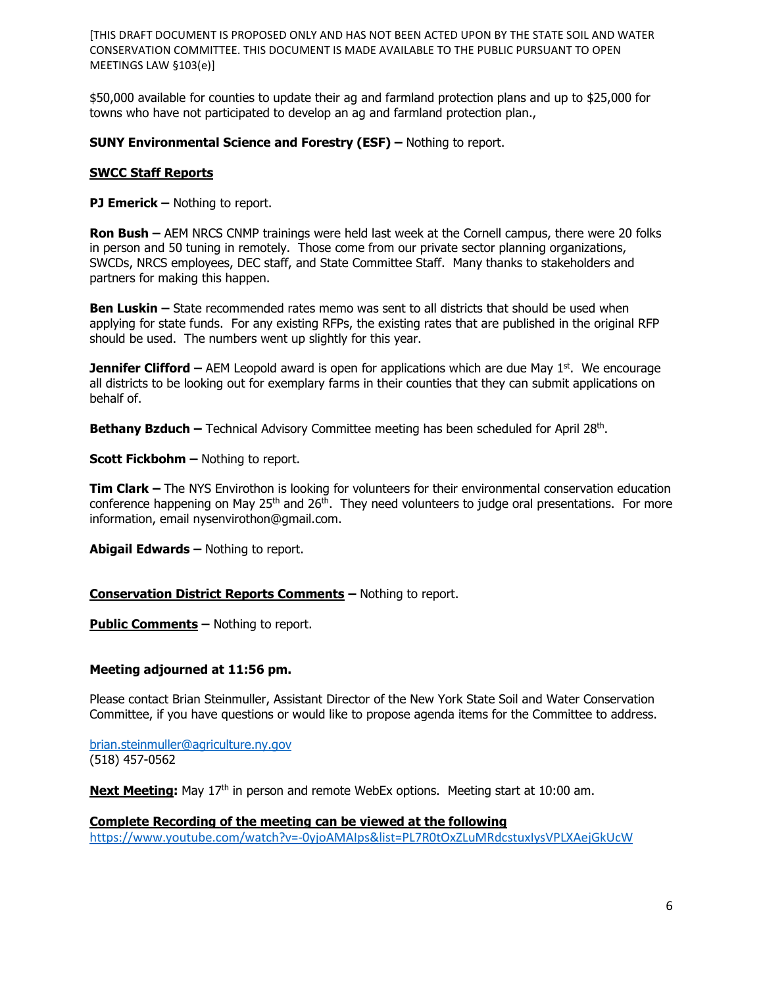\$50,000 available for counties to update their ag and farmland protection plans and up to \$25,000 for towns who have not participated to develop an ag and farmland protection plan.,

## **SUNY Environmental Science and Forestry (ESF) –** Nothing to report.

### **SWCC Staff Reports**

**PJ Emerick –** Nothing to report.

**Ron Bush –** AEM NRCS CNMP trainings were held last week at the Cornell campus, there were 20 folks in person and 50 tuning in remotely. Those come from our private sector planning organizations, SWCDs, NRCS employees, DEC staff, and State Committee Staff. Many thanks to stakeholders and partners for making this happen.

**Ben Luskin –** State recommended rates memo was sent to all districts that should be used when applying for state funds. For any existing RFPs, the existing rates that are published in the original RFP should be used. The numbers went up slightly for this year.

**Jennifer Clifford** – AEM Leopold award is open for applications which are due May 1<sup>st</sup>. We encourage all districts to be looking out for exemplary farms in their counties that they can submit applications on behalf of.

**Bethany Bzduch –** Technical Advisory Committee meeting has been scheduled for April 28<sup>th</sup>.

**Scott Fickbohm –** Nothing to report.

**Tim Clark –** The NYS Envirothon is looking for volunteers for their environmental conservation education conference happening on May 25<sup>th</sup> and 26<sup>th</sup>. They need volunteers to judge oral presentations. For more information, email nysenvirothon@gmail.com.

**Abigail Edwards –** Nothing to report.

## **Conservation District Reports Comments –** Nothing to report.

**Public Comments** – Nothing to report.

## **Meeting adjourned at 11:56 pm.**

Please contact Brian Steinmuller, Assistant Director of the New York State Soil and Water Conservation Committee, if you have questions or would like to propose agenda items for the Committee to address.

[brian.steinmuller@agriculture.ny.gov](mailto:brian.steinmuller@agriculture.ny.gov) (518) 457-0562

**Next Meeting:** May 17<sup>th</sup> in person and remote WebEx options. Meeting start at 10:00 am.

## **Complete Recording of the meeting can be viewed at the following**

<https://www.youtube.com/watch?v=-0yjoAMAIps&list=PL7R0tOxZLuMRdcstuxIysVPLXAejGkUcW>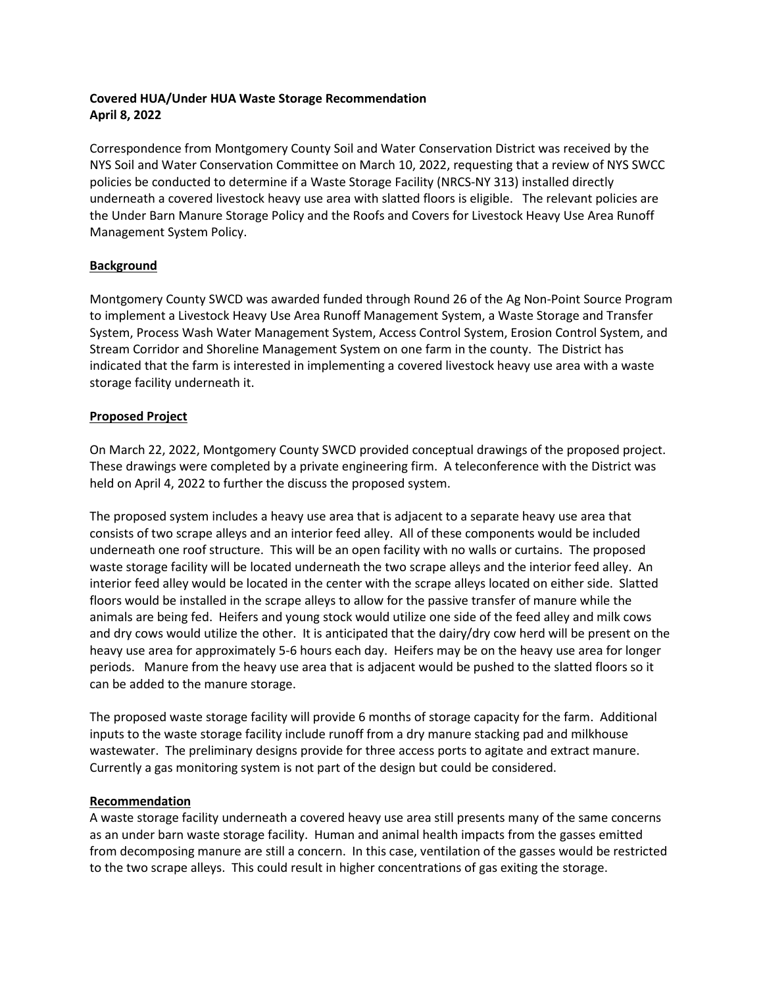# **Covered HUA/Under HUA Waste Storage Recommendation April 8, 2022**

Correspondence from Montgomery County Soil and Water Conservation District was received by the NYS Soil and Water Conservation Committee on March 10, 2022, requesting that a review of NYS SWCC policies be conducted to determine if a Waste Storage Facility (NRCS-NY 313) installed directly underneath a covered livestock heavy use area with slatted floors is eligible. The relevant policies are the Under Barn Manure Storage Policy and the Roofs and Covers for Livestock Heavy Use Area Runoff Management System Policy.

# **Background**

Montgomery County SWCD was awarded funded through Round 26 of the Ag Non-Point Source Program to implement a Livestock Heavy Use Area Runoff Management System, a Waste Storage and Transfer System, Process Wash Water Management System, Access Control System, Erosion Control System, and Stream Corridor and Shoreline Management System on one farm in the county. The District has indicated that the farm is interested in implementing a covered livestock heavy use area with a waste storage facility underneath it.

# **Proposed Project**

On March 22, 2022, Montgomery County SWCD provided conceptual drawings of the proposed project. These drawings were completed by a private engineering firm. A teleconference with the District was held on April 4, 2022 to further the discuss the proposed system.

The proposed system includes a heavy use area that is adjacent to a separate heavy use area that consists of two scrape alleys and an interior feed alley. All of these components would be included underneath one roof structure. This will be an open facility with no walls or curtains. The proposed waste storage facility will be located underneath the two scrape alleys and the interior feed alley. An interior feed alley would be located in the center with the scrape alleys located on either side. Slatted floors would be installed in the scrape alleys to allow for the passive transfer of manure while the animals are being fed. Heifers and young stock would utilize one side of the feed alley and milk cows and dry cows would utilize the other. It is anticipated that the dairy/dry cow herd will be present on the heavy use area for approximately 5-6 hours each day. Heifers may be on the heavy use area for longer periods. Manure from the heavy use area that is adjacent would be pushed to the slatted floors so it can be added to the manure storage.

The proposed waste storage facility will provide 6 months of storage capacity for the farm. Additional inputs to the waste storage facility include runoff from a dry manure stacking pad and milkhouse wastewater. The preliminary designs provide for three access ports to agitate and extract manure. Currently a gas monitoring system is not part of the design but could be considered.

## **Recommendation**

A waste storage facility underneath a covered heavy use area still presents many of the same concerns as an under barn waste storage facility. Human and animal health impacts from the gasses emitted from decomposing manure are still a concern. In this case, ventilation of the gasses would be restricted to the two scrape alleys. This could result in higher concentrations of gas exiting the storage.